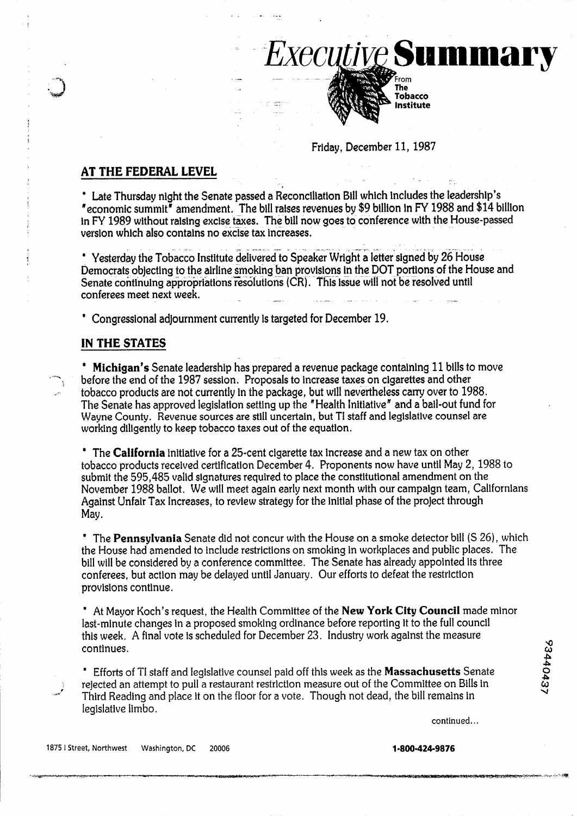## Friday, December 11, 1987

*Executive Summary* 

The Tobacco Institute

## **AT THE FEDERAL LEVEL**

\* Late Thursday night the Senate passed a Reconciliation Bill which includes the leadership's "economic summit' amendment. The bill raises revenues by \$9 billion in FY 1988 and \$14 billion in **FY** 1989 without raising excise taxes. The bill now goes to conference with the House-passed version which also contains no exclse tax increases.

-+ - --- -- -  $^\bullet$  Yesterday the Tobacco Institute delivered to Speaker Wright a letter signed by 26 House Democrats objecting to the airline smoking ban provisions in the DOT portions of the House and Senate continuing appropriations resolutions (CR). This issue will not be resolved until conferees meet next week. )<br>- المقاطع التي التي المقاط بين التي التي يعد المقاط بين 1944 من التي المقاط بين التي التي تشكل المقاط المقاطع

\* Congressional adjournment currently is targeted for December 19.

## IN **THE STATES**

\* Michigan's Senate leadership has prepared a revenue package containing 11 bills to move before the end of the 1987 session. Proposals to increase taxes on cigarettes and other tobacco products are not currently in the pa The Senate has approved legislation setting up the "Health Initiative' and a bail-out fund for Wayne County. Revenue sources are still uncertain, but TI staff and legislative counsel are working diligently to keep tobacco taxes out of the equation.

\* The **California** initiative for a 25-cent cigarette tax increase and a new tax on other tobacco products received certification December 4, Proponents now have until May 2, 1988 to submit the 595,485 valid signatures required to place the constitutional amendment on the November 1988 ballot. We will meet again early next month with our campaign team, Californians Against Unfair Tax Increases, to review strategy for the initial phase of the project through May.

\* The **Pennsylvania** Senate did not concur with the House on a smoke detector bill (S 26), which the House had amended to include restrictions on smoking in workplaces and public places. The bill will be considered by a conference committee. The Senate has already appointed its three conferees, but action may be delayed until January. Our efforts to defeat the restriction provisions continue.

\* At Mayor Koch's request, the Health Committee of the New **York City Council** made minor last-minute changes in a proposed smoking ordinance before reporting it to the full council this week. A final vote is scheduled for December 23. Industry work against the measure continues. **detains the sensual of Becompon 20** materials work against the measure

\* Efforts of TI staff and legislative counsel paid off this week as the **Massachusetts** Senate -is **o** rejected an attempt to pull a restaurant restriction measure out of the Committee on Bills in **ttl**  rejected an attempt to pull a restaurant restriction measure out of the Committee on Bills in **upper to the floor for a**<br>
Third Reading and place it on the floor for a vote. Though not dead, the bill remains in legislative limbo.

continued.. .

**0 P .b**